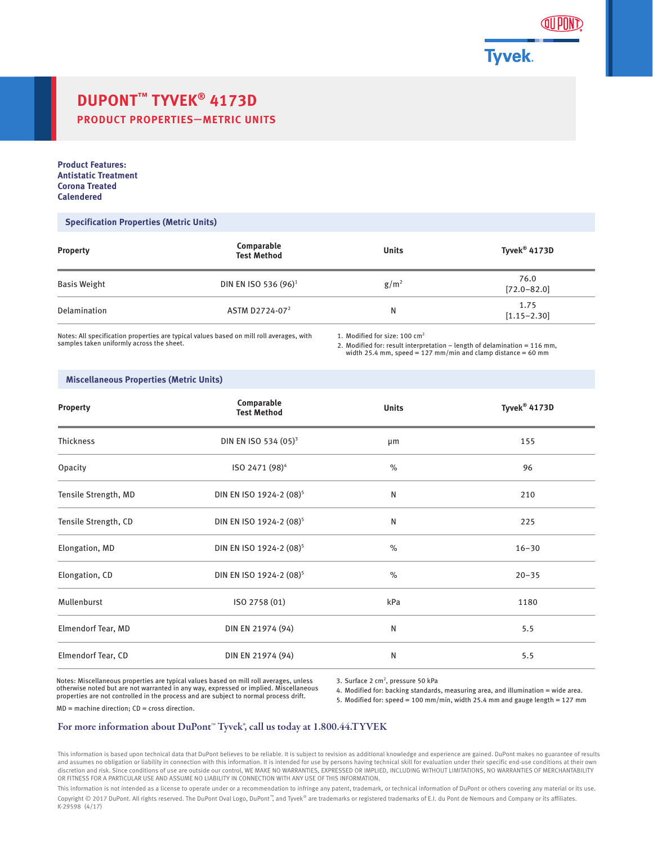

# **DUPONT™ TYVEK® 4173D PRODUCT PROPERTIES—METRIC UNITS**

**Product Features: Antistatic Treatment Corona Treated Calendered**

### **Specification Properties (Metric Units)**

| <b>Property</b> | Comparable<br><b>Test Method</b> | <b>Units</b> | Tyvek <sup>®</sup> 4173D |
|-----------------|----------------------------------|--------------|--------------------------|
| Basis Weight    | DIN EN ISO 536 (96) <sup>1</sup> | $g/m^2$      | 76.0<br>$[72.0 - 82.0]$  |
| Delamination    | ASTM D2724-07 <sup>2</sup>       | N            | 1.75<br>$[1.15 - 2.30]$  |

Notes: All specification properties are typical values based on mill roll averages, with samples taken uniformly across the sheet.

1. Modified for size: 100 cm2

2. Modified for: result interpretation – length of delamination = 116 mm, width 25.4 mm, speed = 127 mm/min and clamp distance = 60 mm

### **Miscellaneous Properties (Metric Units)**

| <b>Property</b>      | Comparable<br><b>Test Method</b>    | <b>Units</b> | Tyvek <sup>®</sup> 4173D |
|----------------------|-------------------------------------|--------------|--------------------------|
| Thickness            | DIN EN ISO 534 (05) <sup>3</sup>    | µm           | 155                      |
| Opacity              | ISO 2471 (98) <sup>4</sup>          | $\%$         | 96                       |
| Tensile Strength, MD | DIN EN ISO 1924-2 (08) <sup>5</sup> | N            | 210                      |
| Tensile Strength, CD | DIN EN ISO 1924-2 (08) <sup>5</sup> | N            | 225                      |
| Elongation, MD       | DIN EN ISO 1924-2 (08) <sup>5</sup> | $\%$         | $16 - 30$                |
| Elongation, CD       | DIN EN ISO 1924-2 (08) <sup>5</sup> | $\%$         | $20 - 35$                |
| Mullenburst          | ISO 2758 (01)                       | kPa          | 1180                     |
| Elmendorf Tear, MD   | DIN EN 21974 (94)                   | N            | 5.5                      |
| Elmendorf Tear, CD   | DIN EN 21974 (94)                   | N            | 5.5                      |

Notes: Miscellaneous properties are typical values based on mill roll averages, unless otherwise noted but are not warranted in any way, expressed or implied. Miscellaneous properties are not controlled in the process and are subject to normal process drift.

3. Surface 2 cm<sup>2</sup>, pressure 50 kPa

4. Modified for: backing standards, measuring area, and illumination = wide area.

5. Modified for: speed = 100 mm/min, width 25.4 mm and gauge length = 127 mm

MD = machine direction; CD = cross direction.

## For more information about DuPont™ Tyvek®, call us today at 1.800.44.TYVEK

This information is based upon technical data that DuPont believes to be reliable. It is subject to revision as additional knowledge and experience are gained. DuPont makes no guarantee of results and assumes no obligation or liability in connection with this information. It is intended for use by persons having technical skill for evaluation under their specific end-use conditions at their own discretion and risk. Since conditions of use are outside our control, WE MAKE NO WARRANTIES, EXPRESSED OR IMPLIED, INCLUDING WITHOUT LIMITATIONS, NO WARRANTIES OF MERCHANTABILITY OR FITNESS FOR A PARTICULAR USE AND ASSUME NO LIABILITY IN CONNECTION WITH ANY USE OF THIS INFORMATION.

This information is not intended as a license to operate under or a recommendation to infringe any patent, trademark, or technical information of DuPont or others covering any material or its use. Copyright © 2017 DuPont. All rights reserved. The DuPont Oval Logo, DuPont™, and Tyvek® are trademarks or registered trademarks of E.I. du Pont de Nemours and Company or its affiliates. K-29598 (4/17)